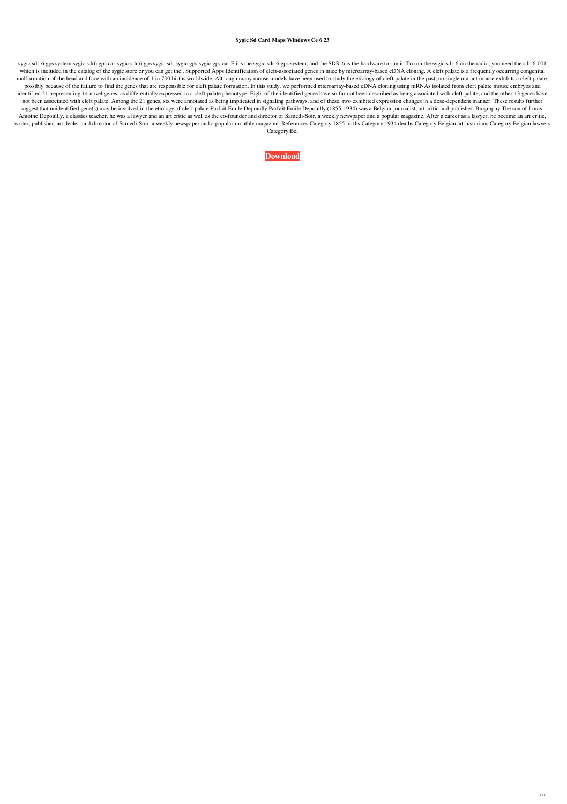## **Sygic Sd Card Maps Windows Ce 6 23**

sygic sdr-6 gps system sygic sdr6 gps car sygic sdr 6 gps sygic sdr sygic gps system, and the SDR-6 is the hardware to run it. To run the sygic sdr-6 on the radio, you need the sdr-6-001 which is included in the catalog of the sygic store or you can get the . Supported Apps.Identification of cleft-associated genes in mice by microarray-based cDNA cloning. A cleft palate is a frequently occurring congenital malformation of the head and face with an incidence of 1 in 700 births worldwide. Although many mouse models have been used to study the etiology of cleft palate in the past, no single mutant mouse exhibits a cleft palate, possibly because of the failure to find the genes that are responsible for cleft palate formation. In this study, we performed microarray-based cDNA cloning using mRNAs isolated from cleft palate mouse embryos and identified 21, representing 14 novel genes, as differentially expressed in a cleft palate phenotype. Eight of the identified genes have so far not been described as being associated with cleft palate, and the other 13 gene not been associated with cleft palate. Among the 21 genes, six were annotated as being implicated in signaling pathways, and of these, two exhibited expression changes in a dose-dependent manner. These results further suggest that unidentified gene(s) may be involved in the etiology of cleft palate.Parfait Emile Depouilly Parfait Emile Depouilly (1855-1934) was a Belgian journalist, art critic and publisher. Biography The son of Louis-Antoine Depouilly, a classics teacher, he was a lawyer and an art critic as well as the co-founder and director of Samedi-Soir, a weekly newspaper and a popular magazine. After a career as a lawyer, he became an art critic, writer, publisher, art dealer, and director of Samedi-Soir, a weekly newspaper and a popular monthly magazine. References Category:1855 births Category:1934 deaths Category:Belgian art historians Category:Belgian lawyers Category:Bel

## **[Download](https://urlin.us/2l00ye)**